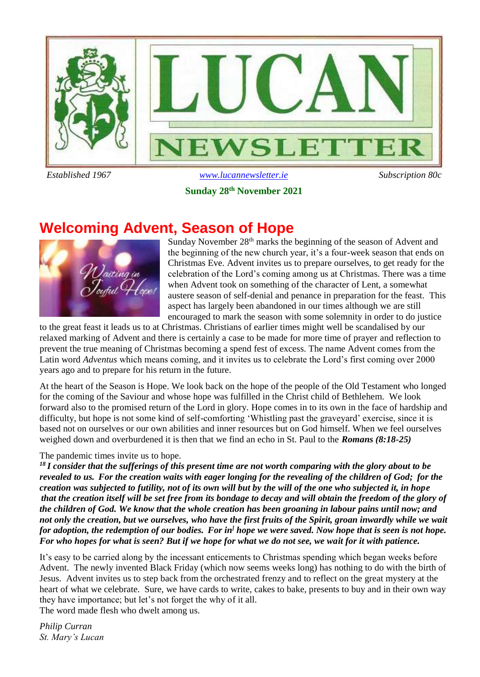

#### **Sunday 28th November 2021**

### **Welcoming Advent, Season of Hope**



Sunday November  $28<sup>th</sup>$  marks the beginning of the season of Advent and the beginning of the new church year, it's a four-week season that ends on Christmas Eve. Advent invites us to prepare ourselves, to get ready for the celebration of the Lord's coming among us at Christmas. There was a time when Advent took on something of the character of Lent, a somewhat austere season of self-denial and penance in preparation for the feast. This aspect has largely been abandoned in our times although we are still encouraged to mark the season with some solemnity in order to do justice

to the great feast it leads us to at Christmas. Christians of earlier times might well be scandalised by our relaxed marking of Advent and there is certainly a case to be made for more time of prayer and reflection to prevent the true meaning of Christmas becoming a spend fest of excess. The name Advent comes from the Latin word *Adventus* which means coming, and it invites us to celebrate the Lord's first coming over 2000 years ago and to prepare for his return in the future.

At the heart of the Season is Hope. We look back on the hope of the people of the Old Testament who longed for the coming of the Saviour and whose hope was fulfilled in the Christ child of Bethlehem. We look forward also to the promised return of the Lord in glory. Hope comes in to its own in the face of hardship and difficulty, but hope is not some kind of self-comforting 'Whistling past the graveyard' exercise, since it is based not on ourselves or our own abilities and inner resources but on God himself. When we feel ourselves weighed down and overburdened it is then that we find an echo in St. Paul to the *Romans (8:18-25)*

#### The pandemic times invite us to hope.

*<sup>18</sup> I consider that the sufferings of this present time are not worth comparing with the glory about to be revealed to us. For the creation waits with eager longing for the revealing of the children of God; for the creation was subjected to futility, not of its own will but by the will of the one who subjected it, in hope that the creation itself will be set free from its bondage to decay and will obtain the freedom of the glory of the children of God. We know that the whole creation has been groaning in labour pains until now; and not only the creation, but we ourselves, who have the first fruits of the Spirit, groan inwardly while we wait for adoption, the redemption of our bodies. For in] hope we were saved. Now hope that is seen is not hope. For who hopes for what is seen? But if we hope for what we do not see, we wait for it with patience.*

It's easy to be carried along by the incessant enticements to Christmas spending which began weeks before Advent. The newly invented Black Friday (which now seems weeks long) has nothing to do with the birth of Jesus. Advent invites us to step back from the orchestrated frenzy and to reflect on the great mystery at the heart of what we celebrate. Sure, we have cards to write, cakes to bake, presents to buy and in their own way they have importance; but let's not forget the why of it all.

The word made flesh who dwelt among us.

*Philip Curran St. Mary's Lucan*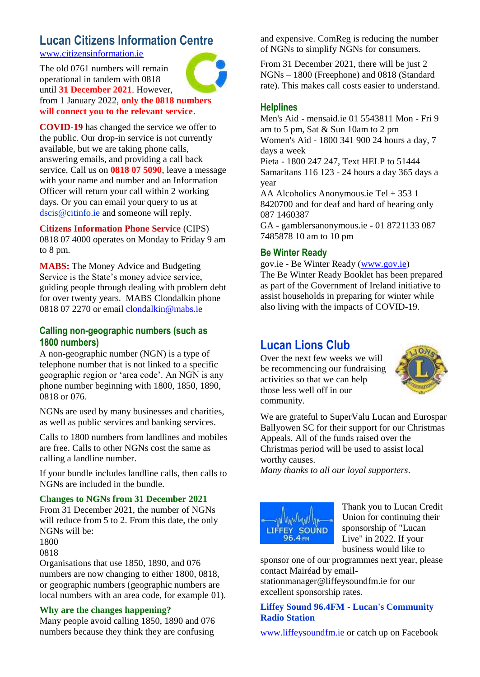## **Lucan Citizens Information Centre**

[www.citizensinformation.ie](http://www.citizensinformation.ie/)

The old 0761 numbers will remain operational in tandem with 0818 until **31 December 2021**. However, from 1 January 2022, **only the 0818 numbers will connect you to the relevant service**.



**Citizens Information Phone Service** (CIPS) 0818 07 4000 operates on Monday to Friday 9 am to 8 pm.

**MABS:** The Money Advice and Budgeting Service is the State's money advice service, guiding people through dealing with problem debt for over twenty years. MABS Clondalkin phone 0818 07 2270 or email [clondalkin@mabs.ie](mailto:clondalkin@mabs.ie)

#### **Calling non-geographic numbers (such as 1800 numbers)**

A non-geographic number (NGN) is a type of telephone number that is not linked to a specific geographic region or 'area code'. An NGN is any phone number beginning with 1800, 1850, 1890, 0818 or 076.

NGNs are used by many businesses and charities, as well as public services and banking services.

Calls to 1800 numbers from landlines and mobiles are free. Calls to other NGNs cost the same as calling a landline number.

If your bundle includes landline calls, then calls to NGNs are included in the bundle.

#### **Changes to NGNs from 31 December 2021**

From 31 December 2021, the number of NGNs will reduce from 5 to 2. From this date, the only NGNs will be:

1800 0818

Organisations that use 1850, 1890, and 076 numbers are now changing to either 1800, 0818, or geographic numbers (geographic numbers are local numbers with an area code, for example 01).

#### **Why are the changes happening?**

Many people avoid calling 1850, 1890 and 076 numbers because they think they are confusing

and expensive. ComReg is reducing the number of NGNs to simplify NGNs for consumers.

From 31 December 2021, there will be just 2 NGNs – 1800 (Freephone) and 0818 (Standard rate). This makes call costs easier to understand.

#### **Helplines**

Men's Aid - mensaid.ie 01 5543811 Mon - Fri 9 am to 5 pm, Sat & Sun 10am to 2 pm Women's Aid - 1800 341 900 24 hours a day, 7 days a week Pieta - 1800 247 247, Text HELP to 51444 Samaritans 116 123 - 24 hours a day 365 days a year AA Alcoholics Anonymous.ie Tel + 353 1 8420700 and for deaf and hard of hearing only 087 1460387 GA - gamblersanonymous.ie - 01 8721133 087 7485878 10 am to 10 pm

#### **Be Winter Ready**

gov.ie - Be Winter Ready [\(www.gov.ie\)](http://www.gov.ie/) The Be Winter Ready Booklet has been prepared as part of the Government of Ireland initiative to assist households in preparing for winter while also living with the impacts of COVID-19.

### **Lucan Lions Club**

Over the next few weeks we will be recommencing our fundraising activities so that we can help those less well off in our community.



We are grateful to SuperValu Lucan and Eurospar Ballyowen SC for their support for our Christmas Appeals. All of the funds raised over the Christmas period will be used to assist local worthy causes.

*Many thanks to all our loyal supporters*.



Thank you to Lucan Credit Union for continuing their sponsorship of "Lucan Live" in 2022. If your business would like to

sponsor one of our programmes next year, please contact Mairéad by emailstationmanager@liffeysoundfm.ie for our excellent sponsorship rates.

#### **Liffey Sound 96.4FM - Lucan's Community Radio Station**

[www.liffeysoundfm.ie](http://www.liffeysoundfm.ie/) or catch up on Facebook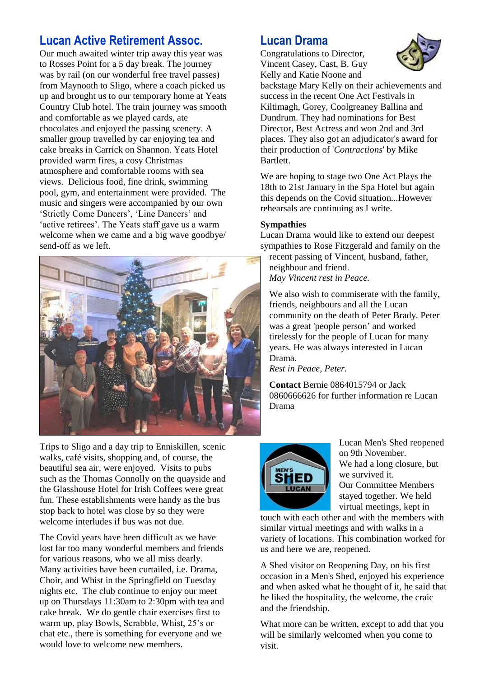### **Lucan Active Retirement Assoc.**

Our much awaited winter trip away this year was to Rosses Point for a 5 day break. The journey was by rail (on our wonderful free travel passes) from Maynooth to Sligo, where a coach picked us up and brought us to our temporary home at Yeats Country Club hotel. The train journey was smooth and comfortable as we played cards, ate chocolates and enjoyed the passing scenery. A smaller group travelled by car enjoying tea and cake breaks in Carrick on Shannon. Yeats Hotel provided warm fires, a cosy Christmas atmosphere and comfortable rooms with sea views. Delicious food, fine drink, swimming pool, gym, and entertainment were provided. The music and singers were accompanied by our own 'Strictly Come Dancers', 'Line Dancers' and 'active retirees'. The Yeats staff gave us a warm welcome when we came and a big wave goodbye/ send-off as we left.



Trips to Sligo and a day trip to Enniskillen, scenic walks, café visits, shopping and, of course, the beautiful sea air, were enjoyed. Visits to pubs such as the Thomas Connolly on the quayside and the Glasshouse Hotel for Irish Coffees were great fun. These establishments were handy as the bus stop back to hotel was close by so they were welcome interludes if bus was not due.

The Covid years have been difficult as we have lost far too many wonderful members and friends for various reasons, who we all miss dearly. Many activities have been curtailed, i.e. Drama, Choir, and Whist in the Springfield on Tuesday nights etc. The club continue to enjoy our meet up on Thursdays 11:30am to 2:30pm with tea and cake break. We do gentle chair exercises first to warm up, play Bowls, Scrabble, Whist, 25's or chat etc., there is something for everyone and we would love to welcome new members.

### **Lucan Drama**

Congratulations to Director, Vincent Casey, Cast, B. Guy Kelly and Katie Noone and



backstage Mary Kelly on their achievements and success in the recent One Act Festivals in Kiltimagh, Gorey, Coolgreaney Ballina and Dundrum. They had nominations for Best Director, Best Actress and won 2nd and 3rd places. They also got an adjudicator's award for their production of '*Contractions*' by Mike Bartlett.

We are hoping to stage two One Act Plays the 18th to 21st January in the Spa Hotel but again this depends on the Covid situation...However rehearsals are continuing as I write.

#### **Sympathies**

Lucan Drama would like to extend our deepest sympathies to Rose Fitzgerald and family on the

recent passing of Vincent, husband, father, neighbour and friend. *May Vincent rest in Peace.*

We also wish to commiserate with the family, friends, neighbours and all the Lucan community on the death of Peter Brady. Peter was a great 'people person' and worked tirelessly for the people of Lucan for many years. He was always interested in Lucan Drama.

*Rest in Peace, Peter.*

**Contact** Bernie 0864015794 or Jack 0860666626 for further information re Lucan Drama



Lucan Men's Shed reopened on 9th November. We had a long closure, but we survived it. Our Committee Members stayed together. We held virtual meetings, kept in

touch with each other and with the members with similar virtual meetings and with walks in a variety of locations. This combination worked for us and here we are, reopened.

A Shed visitor on Reopening Day, on his first occasion in a Men's Shed, enjoyed his experience and when asked what he thought of it, he said that he liked the hospitality, the welcome, the craic and the friendship.

What more can be written, except to add that you will be similarly welcomed when you come to visit.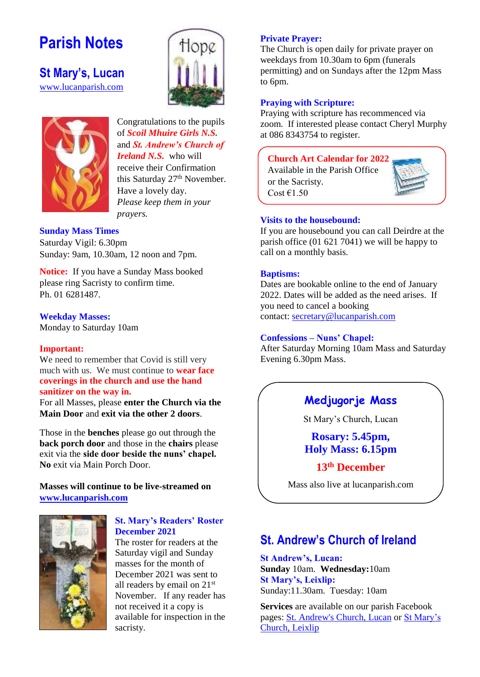## **Parish Notes**

**St Mary's, Lucan**  [www.lucanparish.com](http://www.lucanparish.com/)





#### Congratulations to the pupils of *Scoil Mhuire Girls N.S.* and *St. Andrew's Church of*

*Ireland N.S.* who will receive their Confirmation this Saturday 27<sup>th</sup> November. Have a lovely day. *Please keep them in your prayers.* 

#### **Sunday Mass Times**

Saturday Vigil: 6.30pm Sunday: 9am, 10.30am, 12 noon and 7pm.

**Notice:** If you have a Sunday Mass booked please ring Sacristy to confirm time. Ph. 01 6281487.

#### **Weekday Masses:**

Monday to Saturday 10am

#### **Important:**

We need to remember that Covid is still very much with us. We must continue to **wear face coverings in the church and use the hand sanitizer on the way in.**

For all Masses, please **enter the Church via the Main Door** and **exit via the other 2 doors**.

Those in the **benches** please go out through the **back porch door** and those in the **chairs** please exit via the **side door beside the nuns' chapel. No** exit via Main Porch Door.

#### **Masses will continue to be live-streamed on [www.lucanparish.com](http://www.lucanparish.com/)**



#### **St. Mary's Readers' Roster December 2021**

The roster for readers at the Saturday vigil and Sunday masses for the month of December 2021 was sent to all readers by email on 21st November. If any reader has not received it a copy is available for inspection in the sacristy.

#### **Private Prayer:**

The Church is open daily for private prayer on weekdays from 10.30am to 6pm (funerals permitting) and on Sundays after the 12pm Mass to 6pm.

#### **Praying with Scripture:**

Praying with scripture has recommenced via zoom. If interested please contact Cheryl Murphy at 086 8343754 to register.

#### **Church Art Calendar for 2022**

Available in the Parish Office or the Sacristy. Cost  $£1.50$ 



#### **Visits to the housebound:**

If you are housebound you can call Deirdre at the parish office (01 621 7041) we will be happy to call on a monthly basis.

#### **Baptisms:**

Dates are bookable online to the end of January 2022. Dates will be added as the need arises. If you need to cancel a booking contact: [secretary@lucanparish.com](mailto:secretary@lucanparish.com?subject=Cancellation%20of%20Baptism%20Booking&body=Dear%20Secretary%2C%0AI%20wish%20to%20cancel%20the%20booking%20made%20for%20baby%3A%0Aon%20date%3A%0AThank%20You)

#### **Confessions – Nuns' Chapel:**

After Saturday Morning 10am Mass and Saturday Evening 6.30pm Mass.

### **Medjugorje Mass**

St Mary's Church, Lucan

**Rosary: 5.45pm, Holy Mass: 6.15pm**

#### **13th December**

Mass also live at lucanparish.com

### **St. Andrew's Church of Ireland**

**St Andrew's, Lucan: Sunday** 10am. **Wednesday:**10am **St Mary's, Leixlip:**  Sunday:11.30am. Tuesday: 10am

**Services** are available on our parish Facebook pages: [St. Andrew's Church, Lucan](https://www.facebook.com/standrewslucan/) or [St Mary's](https://www.facebook.com/stmarysleixlip/)  [Church, Leixlip](https://www.facebook.com/stmarysleixlip/)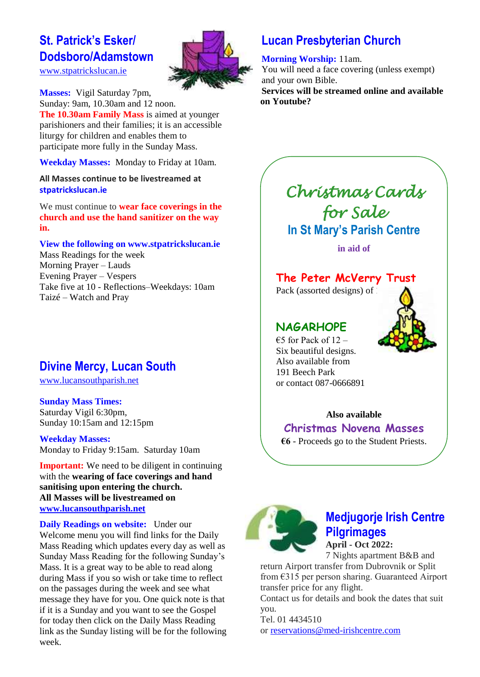### **St. Patrick's Esker/ Dodsboro/Adamstown**

[www.stpatrickslucan.ie](http://www.stpatrickslucan.ie/)

**Masses:** Vigil Saturday 7pm, Sunday: 9am, 10.30am and 12 noon. **The 10.30am Family Mass** is aimed at younger parishioners and their families; it is an accessible liturgy for children and enables them to participate more fully in the Sunday Mass.

**Weekday Masses:** Monday to Friday at 10am.

**All Masses continue to be livestreamed at stpatrickslucan.ie**

We must continue to **wear face coverings in the church and use the hand sanitizer on the way in.**

**View the following on www.stpatrickslucan.ie**

Mass Readings for the week Morning Prayer – Lauds Evening Prayer – Vespers Take five at 10 - Reflections–Weekdays: 10am Taizé – Watch and Pray

### **Divine Mercy, Lucan South**

[www.lucansouthparish.net](http://www.lucansouthparish.net/)

**Sunday Mass Times:** Saturday Vigil 6:30pm, Sunday 10:15am and 12:15pm

**Weekday Masses:** Monday to Friday 9:15am. Saturday 10am

**Important:** We need to be diligent in continuing with the **wearing of face coverings and hand sanitising upon entering the church. All Masses will be livestreamed on [www.lucansouthparish.net](http://www.lucansouthparish.net/)**

**Daily Readings on website:** Under our Welcome menu you will find links for the Daily Mass Reading which updates every day as well as Sunday Mass Reading for the following Sunday's Mass. It is a great way to be able to read along during Mass if you so wish or take time to reflect on the passages during the week and see what message they have for you. One quick note is that if it is a Sunday and you want to see the Gospel for today then click on the Daily Mass Reading link as the Sunday listing will be for the following week.

### **Lucan Presbyterian Church**

**Morning Worship:** 11am.

You will need a face covering (unless exempt) and your own Bible. **Services will be streamed online and available on Youtube?**

## *Christmas Cards for Sale*  **In St Mary's Parish Centre**

**in aid of**

### **The Peter McVerry Trust**

Pack (assorted designs) of

### **NAGARHOPE**

€5 for Pack of  $12$  – Six beautiful designs. Also available from 191 Beech Park or contact 087-0666891

#### **Also available**

**Christmas Novena Masses**

**€6** - Proceeds go to the Student Priests.



## **Medjugorje Irish Centre Pilgrimages**

**April - Oct 2022:** 7 Nights apartment B&B and

return Airport transfer from Dubrovnik or Split from €315 per person sharing. Guaranteed Airport transfer price for any flight.

Contact us for details and book the dates that suit you.

Tel. 01 4434510 or [reservations@med-irishcentre.com](mailto:reservations@med-irishcentre.com)

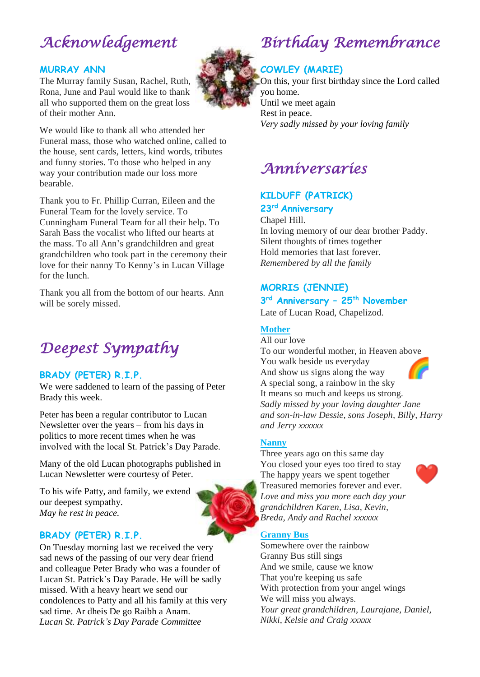## *Acknowledgement*

#### **MURRAY ANN**

The Murray family Susan, Rachel, Ruth, Rona, June and Paul would like to thank all who supported them on the great loss of their mother Ann.

We would like to thank all who attended her Funeral mass, those who watched online, called to the house, sent cards, letters, kind words, tributes and funny stories. To those who helped in any way your contribution made our loss more bearable.

Thank you to Fr. Phillip Curran, Eileen and the Funeral Team for the lovely service. To Cunningham Funeral Team for all their help. To Sarah Bass the vocalist who lifted our hearts at the mass. To all Ann's grandchildren and great grandchildren who took part in the ceremony their love for their nanny To Kenny's in Lucan Village for the lunch.

Thank you all from the bottom of our hearts. Ann will be sorely missed.

## *Deepest Sympathy*

#### **BRADY (PETER) R.I.P.**

We were saddened to learn of the passing of Peter Brady this week.

Peter has been a regular contributor to Lucan Newsletter over the years – from his days in politics to more recent times when he was involved with the local St. Patrick's Day Parade.

Many of the old Lucan photographs published in Lucan Newsletter were courtesy of Peter.

To his wife Patty, and family, we extend our deepest sympathy. *May he rest in peace.*

#### **BRADY (PETER) R.I.P.**

On Tuesday morning last we received the very sad news of the passing of our very dear friend and colleague Peter Brady who was a founder of Lucan St. Patrick's Day Parade. He will be sadly missed. With a heavy heart we send our condolences to Patty and all his family at this very sad time. Ar dheis De go Raibh a Anam. *Lucan St. Patrick's Day Parade Committee*



## *Birthday Remembrance*

#### **COWLEY (MARIE)**

On this, your first birthday since the Lord called you home. Until we meet again Rest in peace. *Very sadly missed by your loving family*

### *Anniversaries*

#### **KILDUFF (PATRICK) 23rd Anniversary**

Chapel Hill.

In loving memory of our dear brother Paddy. Silent thoughts of times together Hold memories that last forever. *Remembered by all the family*

#### **MORRIS (JENNIE)**

#### **3 rd Anniversary – 25th November**

Late of Lucan Road, Chapelizod.

#### **Mother**

All our love To our wonderful mother, in Heaven above You walk beside us everyday And show us signs along the way A special song, a rainbow in the sky It means so much and keeps us strong. *Sadly missed by your loving daughter Jane and son-in-law Dessie, sons Joseph, Billy, Harry and Jerry xxxxxx*

#### **Nanny**

Three years ago on this same day You closed your eyes too tired to stay The happy years we spent together Treasured memories forever and ever. *Love and miss you more each day your grandchildren Karen, Lisa, Kevin, Breda, Andy and Rachel xxxxxx*



Somewhere over the rainbow Granny Bus still sings And we smile, cause we know That you're keeping us safe With protection from your angel wings We will miss you always. *Your great grandchildren, Laurajane, Daniel, Nikki, Kelsie and Craig xxxxx*

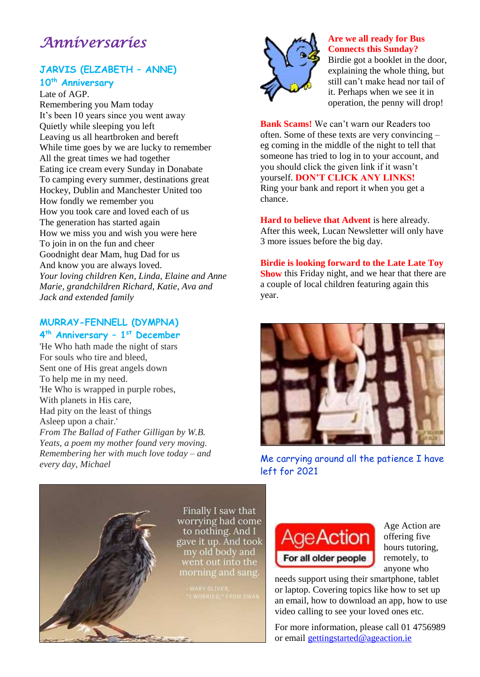### *Anniversaries*

### **JARVIS (ELZABETH – ANNE)**

**10th Anniversary** Late of AGP.

Remembering you Mam today It's been 10 years since you went away Quietly while sleeping you left Leaving us all heartbroken and bereft While time goes by we are lucky to remember All the great times we had together Eating ice cream every Sunday in Donabate To camping every summer, destinations great Hockey, Dublin and Manchester United too How fondly we remember you How you took care and loved each of us The generation has started again How we miss you and wish you were here To join in on the fun and cheer Goodnight dear Mam, hug Dad for us And know you are always loved. *Your loving children Ken, Linda, Elaine and Anne Marie, grandchildren Richard, Katie, Ava and Jack and extended family*

#### **MURRAY-FENNELL (DYMPNA) 4 th Anniversary – 1 st December**

'He Who hath made the night of stars For souls who tire and bleed, Sent one of His great angels down To help me in my need. 'He Who is wrapped in purple robes, With planets in His care, Had pity on the least of things Asleep upon a chair.' *From The Ballad of Father Gilligan by W.B. Yeats, a poem my mother found very moving. Remembering her with much love today – and every day, Michael*



#### **Are we all ready for Bus Connects this Sunday?**

Birdie got a booklet in the door, explaining the whole thing, but still can't make head nor tail of it. Perhaps when we see it in operation, the penny will drop!

**Bank Scams!** We can't warn our Readers too often. Some of these texts are very convincing – eg coming in the middle of the night to tell that someone has tried to log in to your account, and you should click the given link if it wasn't yourself. **DON'T CLICK ANY LINKS!** Ring your bank and report it when you get a chance.

**Hard to believe that Advent** is here already. After this week, Lucan Newsletter will only have 3 more issues before the big day.

**Birdie is looking forward to the Late Late Toy Show** this Friday night, and we hear that there are a couple of local children featuring again this year.



Me carrying around all the patience I have left for 2021

**Age Action** 

For all older people



Age Action are offering five hours tutoring, remotely, to anyone who

needs support using their smartphone, tablet or laptop. Covering topics like how to set up an email, how to download an app, how to use video calling to see your loved ones etc.

For more information, please call 01 4756989 or email [gettingstarted@ageaction.ie](mailto:gettingstarted@ageaction.ie)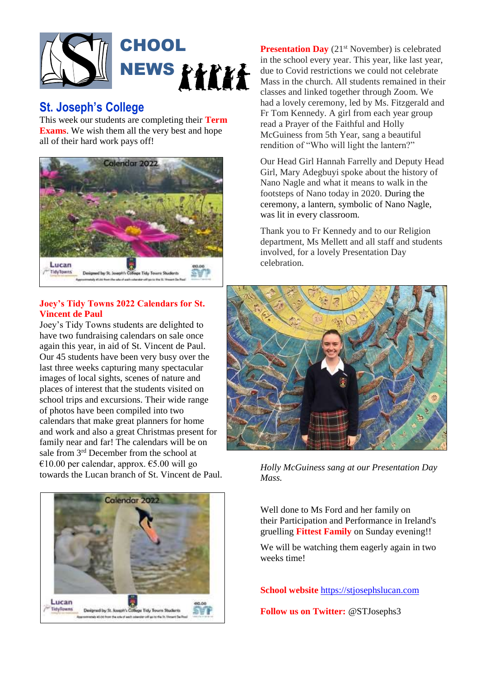

### **St. Joseph's College**

This week our students are completing their **Term Exams**. We wish them all the very best and hope all of their hard work pays off!



#### **Joey's Tidy Towns 2022 Calendars for St. Vincent de Paul**

Joey's Tidy Towns students are delighted to have two fundraising calendars on sale once again this year, in aid of St. Vincent de Paul. Our 45 students have been very busy over the last three weeks capturing many spectacular images of local sights, scenes of nature and places of interest that the students visited on school trips and excursions. Their wide range of photos have been compiled into two calendars that make great planners for home and work and also a great Christmas present for family near and far! The calendars will be on sale from 3<sup>rd</sup> December from the school at €10.00 per calendar, approx. €5.00 will go towards the Lucan branch of St. Vincent de Paul.



**Presentation Day** (21<sup>st</sup> November) is celebrated in the school every year. This year, like last year, due to Covid restrictions we could not celebrate Mass in the church. All students remained in their classes and linked together through Zoom. We had a lovely ceremony, led by Ms. Fitzgerald and Fr Tom Kennedy. A girl from each year group read a Prayer of the Faithful and Holly McGuiness from 5th Year, sang a beautiful rendition of "Who will light the lantern?"

Our Head Girl Hannah Farrelly and Deputy Head Girl, Mary Adegbuyi spoke about the history of Nano Nagle and what it means to walk in the footsteps of Nano today in 2020. During the ceremony, a lantern, symbolic of Nano Nagle, was lit in every classroom.

Thank you to Fr Kennedy and to our Religion department, Ms Mellett and all staff and students involved, for a lovely Presentation Day celebration.



*Holly McGuiness sang at our Presentation Day Mass.*

Well done to Ms Ford and her family on their Participation and Performance in Ireland's gruelling **Fittest Family** on Sunday evening!!

We will be watching them eagerly again in two weeks time!

**School website** [https://stjosephslucan.com](https://stjosephslucan.com/)

**Follow us on Twitter:** @STJosephs3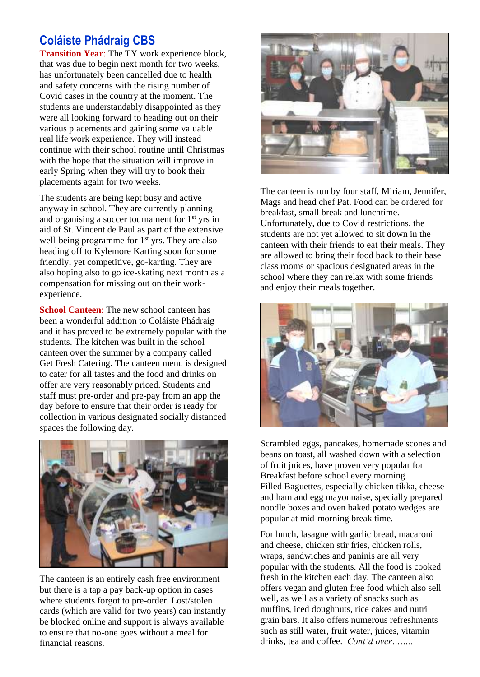### **Coláiste Phádraig CBS**

**Transition Year**: The TY work experience block, that was due to begin next month for two weeks, has unfortunately been cancelled due to health and safety concerns with the rising number of Covid cases in the country at the moment. The students are understandably disappointed as they were all looking forward to heading out on their various placements and gaining some valuable real life work experience. They will instead continue with their school routine until Christmas with the hope that the situation will improve in early Spring when they will try to book their placements again for two weeks.

The students are being kept busy and active anyway in school. They are currently planning and organising a soccer tournament for  $1<sup>st</sup>$  yrs in aid of St. Vincent de Paul as part of the extensive well-being programme for  $1<sup>st</sup>$  yrs. They are also heading off to Kylemore Karting soon for some friendly, yet competitive, go-karting. They are also hoping also to go ice-skating next month as a compensation for missing out on their workexperience.

**School Canteen**: The new school canteen has been a wonderful addition to Coláiste Phádraig and it has proved to be extremely popular with the students. The kitchen was built in the school canteen over the summer by a company called Get Fresh Catering. The canteen menu is designed to cater for all tastes and the food and drinks on offer are very reasonably priced. Students and staff must pre-order and pre-pay from an app the day before to ensure that their order is ready for collection in various designated socially distanced spaces the following day.



The canteen is an entirely cash free environment but there is a tap a pay back-up option in cases where students forgot to pre-order. Lost/stolen cards (which are valid for two years) can instantly be blocked online and support is always available to ensure that no-one goes without a meal for financial reasons.



The canteen is run by four staff, Miriam, Jennifer, Mags and head chef Pat. Food can be ordered for breakfast, small break and lunchtime. Unfortunately, due to Covid restrictions, the students are not yet allowed to sit down in the canteen with their friends to eat their meals. They are allowed to bring their food back to their base class rooms or spacious designated areas in the school where they can relax with some friends and enjoy their meals together.



Scrambled eggs, pancakes, homemade scones and beans on toast, all washed down with a selection of fruit juices, have proven very popular for Breakfast before school every morning. Filled Baguettes, especially chicken tikka, cheese and ham and egg mayonnaise, specially prepared noodle boxes and oven baked potato wedges are popular at mid-morning break time.

For lunch, lasagne with garlic bread, macaroni and cheese, chicken stir fries, chicken rolls, wraps, sandwiches and paninis are all very popular with the students. All the food is cooked fresh in the kitchen each day. The canteen also offers vegan and gluten free food which also sell well, as well as a variety of snacks such as muffins, iced doughnuts, rice cakes and nutri grain bars. It also offers numerous refreshments such as still water, fruit water, juices, vitamin drinks, tea and coffee. *Cont'd over……..*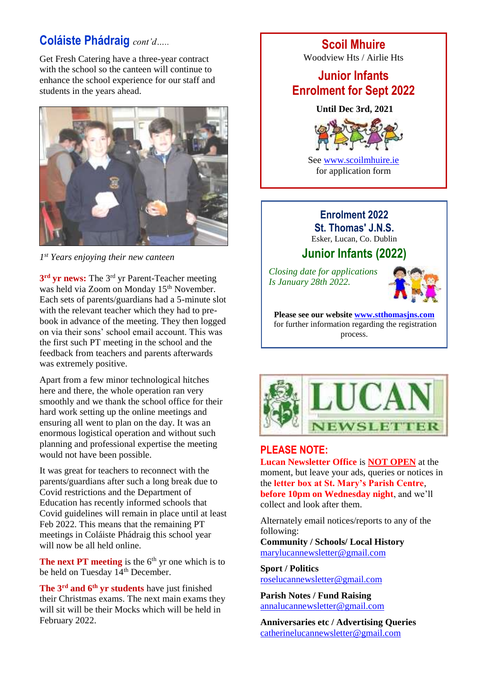### **Coláiste Phádraig** *cont'd…..*

Get Fresh Catering have a three-year contract with the school so the canteen will continue to enhance the school experience for our staff and students in the years ahead.



*1 st Years enjoying their new canteen* 

**3 rd yr news:** The 3rd yr Parent-Teacher meeting was held via Zoom on Monday 15<sup>th</sup> November. Each sets of parents/guardians had a 5-minute slot with the relevant teacher which they had to prebook in advance of the meeting. They then logged on via their sons' school email account. This was the first such PT meeting in the school and the feedback from teachers and parents afterwards was extremely positive.

Apart from a few minor technological hitches here and there, the whole operation ran very smoothly and we thank the school office for their hard work setting up the online meetings and ensuring all went to plan on the day. It was an enormous logistical operation and without such planning and professional expertise the meeting would not have been possible.

It was great for teachers to reconnect with the parents/guardians after such a long break due to Covid restrictions and the Department of Education has recently informed schools that Covid guidelines will remain in place until at least Feb 2022. This means that the remaining PT meetings in Coláiste Phádraig this school year will now be all held online.

**The next PT meeting** is the  $6<sup>th</sup>$  yr one which is to be held on Tuesday 14<sup>th</sup> December.

**The 3rd and 6th yr students** have just finished their Christmas exams. The next main exams they will sit will be their Mocks which will be held in February 2022.

**Scoil Mhuire**

Woodview Hts / Airlie Hts

### **Junior Infants Enrolment for Sept 2022**

**Until Dec 3rd, 2021**



See [www.scoilmhuire.ie](http://www.scoilmhuire.ie/) for application form

#### **Enrolment 2022 St. Thomas' J.N.S.**

Esker, Lucan, Co. Dublin

### **Junior Infants (2022)**

*Closing date for applications Is January 28th 2022.*



**Please see our website [www.stthomasjns.com](http://www.stthomasjns.com/)** for further information regarding the registration process.



### **PLEASE NOTE:**

**Lucan Newsletter Office** is **NOT OPEN** at the moment, but leave your ads, queries or notices in the **letter box at St. Mary's Parish Centre**, **before 10pm on Wednesday night**, and we'll collect and look after them.

Alternately email notices/reports to any of the following:

**Community / Schools/ Local History**  [marylucannewsletter@gmail.com](mailto:marylucannewsletter@gmail.com) 

**Sport / Politics** [roselucannewsletter@gmail.com](mailto:roselucannewsletter@gmail.com)

**Parish Notes / Fund Raising** [annalucannewsletter@gmail.com](mailto:annalucannewsletter@gmail.com)

**Anniversaries etc / Advertising Queries**  [catherinelucannewsletter@gmail.com](mailto:catherinelucannewsletter@gmail.com)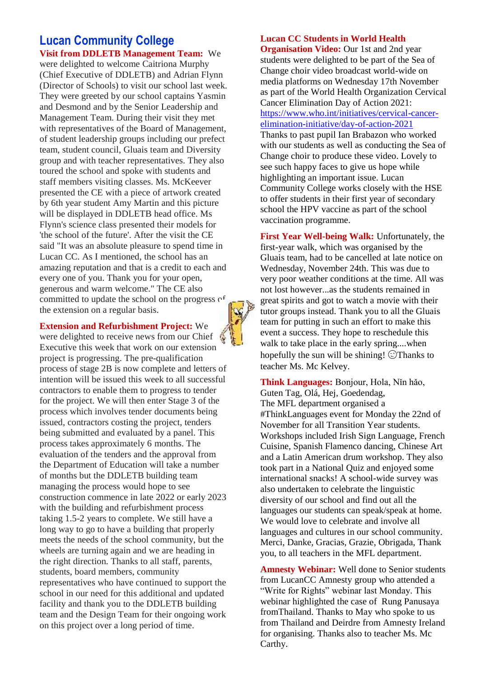#### **Lucan Community College Visit from DDLETB Management Team:** We

were delighted to welcome Caitriona Murphy (Chief Executive of DDLETB) and Adrian Flynn (Director of Schools) to visit our school last week. They were greeted by our school captains Yasmin and Desmond and by the Senior Leadership and Management Team. During their visit they met with representatives of the Board of Management, of student leadership groups including our prefect team, student council, Gluais team and Diversity group and with teacher representatives. They also toured the school and spoke with students and staff members visiting classes. Ms. McKeever presented the CE with a piece of artwork created by 6th year student Amy Martin and this picture will be displayed in DDLETB head office. Ms Flynn's science class presented their models for 'the school of the future'. After the visit the CE said "It was an absolute pleasure to spend time in Lucan CC. As I mentioned, the school has an amazing reputation and that is a credit to each and every one of you. Thank you for your open, generous and warm welcome." The CE also committed to update the school on the progress  $\sigma$ <sup> $\epsilon$ </sup> the extension on a regular basis.

#### **Extension and Refurbishment Project:** We

were delighted to receive news from our Chief Executive this week that work on our extension project is progressing. The pre-qualification process of stage 2B is now complete and letters of intention will be issued this week to all successful contractors to enable them to progress to tender for the project. We will then enter Stage 3 of the process which involves tender documents being issued, contractors costing the project, tenders being submitted and evaluated by a panel. This process takes approximately 6 months. The evaluation of the tenders and the approval from the Department of Education will take a number of months but the DDLETB building team managing the process would hope to see construction commence in late 2022 or early 2023 with the building and refurbishment process taking 1.5-2 years to complete. We still have a long way to go to have a building that properly meets the needs of the school community, but the wheels are turning again and we are heading in the right direction. Thanks to all staff, parents, students, board members, community representatives who have continued to support the school in our need for this additional and updated facility and thank you to the DDLETB building team and the Design Team for their ongoing work on this project over a long period of time.

#### **Lucan CC Students in World Health**

**Organisation Video:** Our 1st and 2nd year students were delighted to be part of the Sea of Change choir video broadcast world-wide on media platforms on Wednesday 17th November as part of the World Health Organization Cervical Cancer Elimination Day of Action 2021: [https://www.who.int/initiatives/cervical-cancer](https://www.who.int/initiatives/cervical-cancer-elimination-initiative/day-of-action-2021)[elimination-initiative/day-of-action-2021](https://www.who.int/initiatives/cervical-cancer-elimination-initiative/day-of-action-2021) Thanks to past pupil Ian Brabazon who worked with our students as well as conducting the Sea of Change choir to produce these video. Lovely to see such happy faces to give us hope while highlighting an important issue. Lucan Community College works closely with the HSE to offer students in their first year of secondary school the HPV vaccine as part of the school vaccination programme.

**First Year Well-being Walk:** Unfortunately, the first-year walk, which was organised by the Gluais team, had to be cancelled at late notice on Wednesday, November 24th. This was due to very poor weather conditions at the time. All was not lost however...as the students remained in great spirits and got to watch a movie with their tutor groups instead. Thank you to all the Gluais team for putting in such an effort to make this event a success. They hope to reschedule this walk to take place in the early spring....when hopefully the sun will be shining!  $\bigcirc$  Thanks to teacher Ms. Mc Kelvey.

**Think Languages:** Bonjour, Hola, Nǐn hǎo, Guten Tag, Olá, Hej, Goedendag, The MFL department organised a #ThinkLanguages event for Monday the 22nd of November for all Transition Year students. Workshops included Irish Sign Language, French Cuisine, Spanish Flamenco dancing, Chinese Art and a Latin American drum workshop. They also took part in a National Quiz and enjoyed some international snacks! A school-wide survey was also undertaken to celebrate the linguistic diversity of our school and find out all the languages our students can speak/speak at home. We would love to celebrate and involve all languages and cultures in our school community. Merci, Danke, Gracias, Grazie, Obrigada, Thank you, to all teachers in the MFL department.

**Amnesty Webinar:** Well done to Senior students from LucanCC Amnesty group who attended a "Write for Rights" webinar last Monday. This webinar highlighted the case of Rung Panusaya fromThailand. Thanks to May who spoke to us from Thailand and Deirdre from Amnesty Ireland for organising. Thanks also to teacher Ms. Mc Carthy.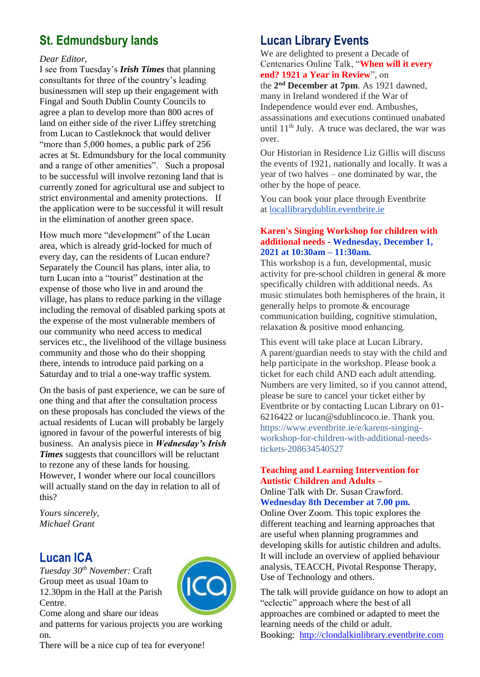### **St. Edmundsbury lands**

#### *Dear Editor,*

I see from Tuesday's *Irish Times* that planning consultants for three of the country's leading businessmen will step up their engagement with Fingal and South Dublin County Councils to agree a plan to develop more than 800 acres of land on either side of the river Liffey stretching from Lucan to Castleknock that would deliver "more than 5,000 homes, a public park of 256 acres at St. Edmundsbury for the local community and a range of other amenities". Such a proposal to be successful will involve rezoning land that is currently zoned for agricultural use and subject to strict environmental and amenity protections. If the application were to be successful it will result in the elimination of another green space.

How much more "development" of the Lucan area, which is already grid-locked for much of every day, can the residents of Lucan endure? Separately the Council has plans, inter alia, to turn Lucan into a "tourist" destination at the expense of those who live in and around the village, has plans to reduce parking in the village including the removal of disabled parking spots at the expense of the most vulnerable members of our community who need access to medical services etc., the livelihood of the village business community and those who do their shopping there, intends to introduce paid parking on a Saturday and to trial a one-way traffic system.

On the basis of past experience, we can be sure of one thing and that after the consultation process on these proposals has concluded the views of the actual residents of Lucan will probably be largely ignored in favour of the powerful interests of big business. An analysis piece in *Wednesday's Irish Times* suggests that councillors will be reluctant to rezone any of these lands for housing. However, I wonder where our local councillors will actually stand on the day in relation to all of this?

*Yours sincerely, Michael Grant*

### **Lucan ICA**

*Tuesday 30th November:* Craft Group meet as usual 10am to 12.30pm in the Hall at the Parish Centre.



Come along and share our ideas

and patterns for various projects you are working on.

There will be a nice cup of tea for everyone!

### **Lucan Library Events**

We are delighted to present a Decade of Centenaries Online Talk, "**When will it every end? 1921 a Year in Review**", on

the **2 nd December at 7pm**. As 1921 dawned, many in Ireland wondered if the War of Independence would ever end. Ambushes, assassinations and executions continued unabated until 11th July. A truce was declared, the war was over.

Our Historian in Residence Liz Gillis will discuss the events of 1921, nationally and locally. It was a year of two halves – one dominated by war, the other by the hope of peace.

You can book your place through Eventbrite at [locallibrarydublin.eventbrite.ie](http://locallibrarydublin.eventbrite.ie/)

#### **Karen's Singing Workshop for children with additional needs** - **Wednesday, December 1, 2021 at 10:30am – 11:30am.**

This workshop is a fun, developmental, music activity for pre-school children in general & more specifically children with additional needs. As music stimulates both hemispheres of the brain, it generally helps to promote & encourage communication building, cognitive stimulation, relaxation & positive mood enhancing.

This event will take place at Lucan Library. A parent/guardian needs to stay with the child and help participate in the workshop. Please book a ticket for each child AND each adult attending. Numbers are very limited, so if you cannot attend, please be sure to cancel your ticket either by Eventbrite or by contacting Lucan Library on 01- 6216422 or lucan@sdublincoco.ie. Thank you. https://www.eventbrite.ie/e/karens-singingworkshop-for-children-with-additional-needstickets-208634540527

#### **Teaching and Learning Intervention for Autistic Children and Adults –**

Online Talk with Dr. Susan Crawford. **Wednesday 8th December at 7.00 pm.**

Online Over Zoom. This topic explores the different teaching and learning approaches that are useful when planning programmes and developing skills for autistic children and adults. It will include an overview of applied behaviour analysis, TEACCH, Pivotal Response Therapy, Use of Technology and others.

The talk will provide guidance on how to adopt an "eclectic" approach where the best of all approaches are combined or adapted to meet the learning needs of the child or adult. Booking: [http://clondalkinlibrary.eventbrite.com](http://clondalkinlibrary.eventbrite.com/)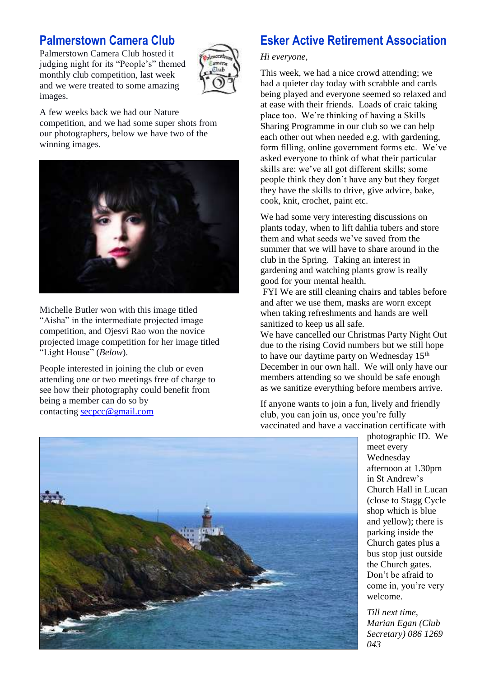### **Palmerstown Camera Club**

Palmerstown Camera Club hosted it judging night for its "People's" themed monthly club competition, last week and we were treated to some amazing images.



A few weeks back we had our Nature competition, and we had some super shots from our photographers, below we have two of the winning images.



Michelle Butler won with this image titled "Aisha" in the intermediate projected image competition, and Ojesvi Rao won the novice projected image competition for her image titled "Light House" (*Below*).

People interested in joining the club or even attending one or two meetings free of charge to see how their photography could benefit from being a member can do so by contacting [secpcc@gmail.com](mailto:secpcc@gmail.com)

### **Esker Active Retirement Association**

#### *Hi everyone,*

This week, we had a nice crowd attending; we had a quieter day today with scrabble and cards being played and everyone seemed so relaxed and at ease with their friends. Loads of craic taking place too. We're thinking of having a Skills Sharing Programme in our club so we can help each other out when needed e.g. with gardening, form filling, online government forms etc. We've asked everyone to think of what their particular skills are: we've all got different skills; some people think they don't have any but they forget they have the skills to drive, give advice, bake, cook, knit, crochet, paint etc.

We had some very interesting discussions on plants today, when to lift dahlia tubers and store them and what seeds we've saved from the summer that we will have to share around in the club in the Spring. Taking an interest in gardening and watching plants grow is really good for your mental health.

FYI We are still cleaning chairs and tables before and after we use them, masks are worn except when taking refreshments and hands are well sanitized to keep us all safe.

We have cancelled our Christmas Party Night Out due to the rising Covid numbers but we still hope to have our daytime party on Wednesday  $15<sup>th</sup>$ December in our own hall. We will only have our members attending so we should be safe enough as we sanitize everything before members arrive.

If anyone wants to join a fun, lively and friendly club, you can join us, once you're fully vaccinated and have a vaccination certificate with

photographic ID. We meet every Wednesday afternoon at 1.30pm in St Andrew's Church Hall in Lucan (close to Stagg Cycle shop which is blue and yellow); there is parking inside the Church gates plus a bus stop just outside the Church gates. Don't be afraid to come in, you're very welcome.

*Till next time, Marian Egan (Club Secretary) 086 1269 043* 

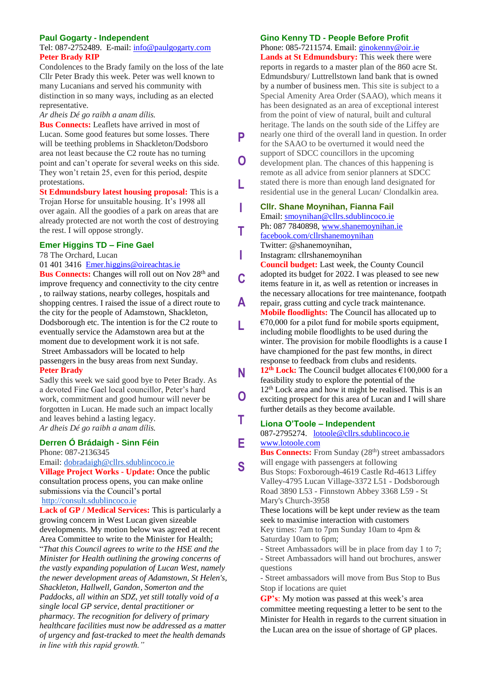#### **Paul Gogarty - Independent**

#### Tel: 087-2752489. E-mail: [info@paulgogarty.com](mailto:info@paulgogarty.com) **Peter Brady RIP**

Condolences to the Brady family on the loss of the late Cllr Peter Brady this week. Peter was well known to many Lucanians and served his community with distinction in so many ways, including as an elected representative.

#### *Ar dheis Dé go raibh a anam dílis.*

**Bus Connects:** Leaflets have arrived in most of Lucan. Some good features but some losses. There will be teething problems in Shackleton/Dodsboro area not least because the C2 route has no turning point and can't operate for several weeks on this side. They won't retain 25, even for this period, despite protestations.

**St Edmundsbury latest housing proposal:** This is a Trojan Horse for unsuitable housing. It's 1998 all over again. All the goodies of a park on areas that are already protected are not worth the cost of destroying the rest. I will oppose strongly.

#### **Emer Higgins TD – Fine Gael**

78 The Orchard, Lucan

#### [01 401 3416](tel:014013416) [Emer.higgins@oireachtas.ie](mailto:Emer.higgins@oireachtas.ie)

**Bus Connects:** Changes will roll out on Nov 28<sup>th</sup> and improve frequency and connectivity to the city centre , to railway stations, nearby colleges, hospitals and shopping centres. I raised the issue of a direct route to the city for the people of Adamstown, Shackleton, Dodsborough etc. The intention is for the C2 route to eventually service the Adamstown area but at the moment due to development work it is not safe. Street Ambassadors will be located to help passengers in the busy areas from next Sunday. **Peter Brady**

Sadly this week we said good bye to Peter Brady. As a devoted Fine Gael local councillor, Peter's hard work, commitment and good humour will never be forgotten in Lucan. He made such an impact locally and leaves behind a lasting legacy. *Ar dheis Dé go raibh a anam dílis.*

#### **Derren Ó Brádaigh - Sinn Féin**

Phone: 087-2136345

Email: [dobradaigh@cllrs.sdublincoco.ie](mailto:dobradaigh@cllrs.sdublincoco.ie)

**Village Project Works - Update:** Once the public consultation process opens, you can make online submissions via the Council's portal [http://consult.sdublincoco.ie](http://consult.sdublincoco.ie/)

**Lack of GP / Medical Services:** This is particularly a growing concern in West Lucan given sizeable developments. My motion below was agreed at recent Area Committee to write to the Minister for Health; "*That this Council agrees to write to the HSE and the Minister for Health outlining the growing concerns of the vastly expanding population of Lucan West, namely the newer development areas of Adamstown, St Helen's, Shackleton, Hallwell, Gandon, Somerton and the Paddocks, all within an SDZ, yet still totally void of a single local GP service, dental practitioner or pharmacy. The recognition for delivery of primary healthcare facilities must now be addressed as a matter of urgency and fast-tracked to meet the health demands in line with this rapid growth."*

#### **Gino Kenny TD - People Before Profit**

**P**

**O**

**L**

**I**

**T**

**I**

**C**

**A**

**L**

**N**

**T**

**E**

**S**

Phone: 085-7211574. Email: *[ginokenny@oir.ie](mailto:ginokenny@oir.ie)* **Lands at St Edmundsbury:** This week there were reports in regards to a master plan of the 860 acre St. Edmundsbury/ Luttrellstown land bank that is owned by a number of business men. This site is subject to a Special Amenity Area Order (SAAO), which means it has been designated as an area of exceptional interest from the point of view of natural, built and cultural heritage. The lands on the south side of the Liffey are nearly one third of the overall land in question. In order for the SAAO to be overturned it would need the support of SDCC councillors in the upcoming development plan. The chances of this happening is remote as all advice from senior planners at SDCC stated there is more than enough land designated for residential use in the general Lucan/ Clondalkin area. **Cllr. Shane Moynihan, Fianna Fail** Email: [smoynihan@cllrs.sdublincoco.ie](mailto:smoynihan@cllrs.sdublincoco.ie) Ph: 087 7840898, [www.shanemoynihan.ie](http://www.shanemoynihan.ie/) [facebook.com/cllrshanemoynihan](http://facebook.com/cllrshanemoynihan) Twitter: @shanemoynihan, Instagram: cllrshanemoynihan **Council budget:** Last week, the County Council adopted its budget for 2022. I was pleased to see new items feature in it, as well as retention or increases in the necessary allocations for tree maintenance, footpath repair, grass cutting and cycle track maintenance.

- **Mobile floodlights:** The Council has allocated up to  $€70,000$  for a pilot fund for mobile sports equipment, including mobile floodlights to be used during the winter. The provision for mobile floodlights is a cause I have championed for the past few months, in direct response to feedback from clubs and residents.
- **12th Lock:** The Council budget allocates €100,000 for a feasibility study to explore the potential of the 12<sup>th</sup> Lock area and how it might be realised. This is an exciting prospect for this area of Lucan and I will share further details as they become available. **O**

#### **Liona O'Toole – Independent**

087-2795274. [lotoole@cllrs.sdublincoco.ie](mailto:lotoole@cllrs.sdublincoco.ie) [www.lotoole.com](http://www.lotoole.com/)

**Bus Connects:** From Sunday (28<sup>th</sup>) street ambassadors will engage with passengers at following

Bus Stops: Foxborough-4619 Castle Rd-4613 Liffey Valley-4795 Lucan Village-3372 L51 - Dodsborough Road 3890 L53 - Finnstown Abbey 3368 L59 - St Mary's Church-3958

These locations will be kept under review as the team seek to maximise interaction with customers Key times: 7am to 7pm Sunday 10am to 4pm & Saturday 10am to 6pm;

- Street Ambassadors will be in place from day 1 to 7; - Street Ambassadors will hand out brochures, answer

questions - Street ambassadors will move from Bus Stop to Bus Stop if locations are quiet

**GP's**: My motion was passed at this week's area committee meeting requesting a letter to be sent to the Minister for Health in regards to the current situation in the Lucan area on the issue of shortage of GP places.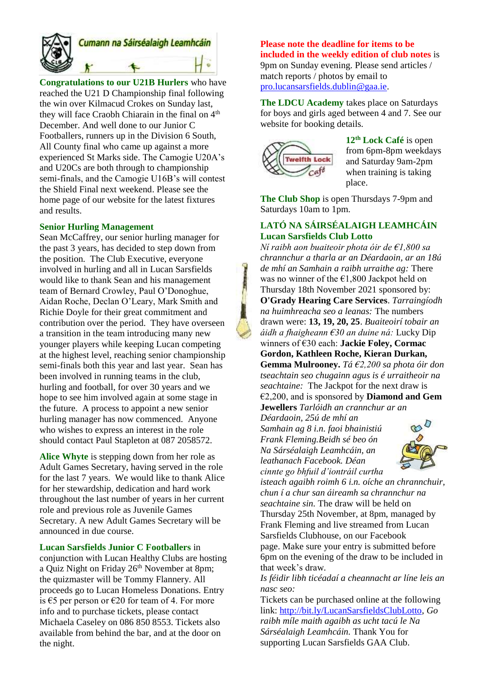

# Cumann na Sáirséalaigh Leamhcáin

**Congratulations to our U21B Hurlers** who have reached the U21 D Championship final following the win over Kilmacud Crokes on Sunday last, they will face Craobh Chiarain in the final on 4<sup>th</sup> December. And well done to our Junior C Footballers, runners up in the Division 6 South, All County final who came up against a more experienced St Marks side. The Camogie U20A's and U20Cs are both through to championship semi-finals, and the Camogie U16B's will contest the Shield Final next weekend. Please see the home page of our website for the latest fixtures and results.

#### **Senior Hurling Management**

Sean McCaffrey, our senior hurling manager for the past 3 years, has decided to step down from the position. The Club Executive, everyone involved in hurling and all in Lucan Sarsfields would like to thank Sean and his management team of Bernard Crowley, Paul O'Donoghue, Aidan Roche, Declan O'Leary, Mark Smith and Richie Doyle for their great commitment and contribution over the period. They have overseen a transition in the team introducing many new younger players while keeping Lucan competing at the highest level, reaching senior championship semi-finals both this year and last year. Sean has been involved in running teams in the club, hurling and football, for over 30 years and we hope to see him involved again at some stage in the future. A process to appoint a new senior hurling manager has now commenced. Anyone who wishes to express an interest in the role should contact Paul Stapleton at 087 2058572.

**Alice Whyte** is stepping down from her role as Adult Games Secretary, having served in the role for the last 7 years. We would like to thank Alice for her stewardship, dedication and hard work throughout the last number of years in her current role and previous role as Juvenile Games Secretary. A new Adult Games Secretary will be announced in due course.

**Lucan Sarsfields Junior C Footballers** in conjunction with Lucan Healthy Clubs are hosting a Quiz Night on Friday 26<sup>th</sup> November at 8pm; the quizmaster will be Tommy Flannery. All proceeds go to Lucan Homeless Donations. Entry is €5 per person or €20 for team of 4. For more info and to purchase tickets, please contact Michaela Caseley on 086 850 8553. Tickets also available from behind the bar, and at the door on the night.

#### **Please note the deadline for items to be included in the weekly edition of club notes** is 9pm on Sunday evening. Please send articles / match reports / photos by email to [pro.lucansarsfields.dublin@gaa.ie.](mailto:pro.lucansarsfields.dublin@gaa.ie)

**The LDCU Academy** takes place on Saturdays for boys and girls aged between 4 and 7. See our website for booking details.



**12th Lock Café** is open from 6pm-8pm weekdays and Saturday 9am-2pm when training is taking place.

**The Club Shop** is open Thursdays 7-9pm and Saturdays 10am to 1pm.

#### **LATÓ NA SÁIRSÉALAIGH LEAMHCÁIN Lucan Sarsfields Club Lotto**

*Ní raibh aon buaiteoir phota óir de €1,800 sa chrannchur a tharla ar an Déardaoin, ar an 18ú de mhí an Samhain a raibh urraithe ag:* There was no winner of the  $\epsilon$ 1,800 Jackpot held on Thursday 18th November 2021 sponsored by: **O'Grady Hearing Care Services**. *Tarraingíodh na huimhreacha seo a leanas:* The numbers drawn were: **13, 19, 20, 25**. *Buaiteoirí tobair an áidh a fhaigheann €30 an duine ná:* Lucky Dip winners of €30 each: **Jackie Foley, Cormac Gordon, Kathleen Roche, Kieran Durkan, Gemma Mulrooney.** *Tá €2,200 sa phota óir don tseachtain seo chugainn agus is é urraitheoir na seachtaine:* The Jackpot for the next draw is

€2,200, and is sponsored by **Diamond and Gem Jewellers** *Tarlóidh an crannchur ar an* 

*Déardaoin, 25ú de mhí an Samhain ag 8 i.n. faoi bhainistiú Frank Fleming.Beidh sé beo ón Na Sárséalaigh Leamhcáin, an leathanach Facebook. Déan cinnte go bhfuil d'iontráil curtha* 



*isteach agaibh roimh 6 i.n. oíche an chrannchuir, chun í a chur san áireamh sa chrannchur na seachtaine sin.* The draw will be held on Thursday 25th November, at 8pm, managed by Frank Fleming and live streamed from Lucan Sarsfields Clubhouse, on our Facebook page. Make sure your entry is submitted before 6pm on the evening of the draw to be included in that week's draw.

*Is féidir libh ticéadaí a cheannacht ar líne leis an nasc seo:*

Tickets can be purchased online at the following link: [http://bit.ly/LucanSarsfieldsClubLotto,](http://bit.ly/LucanSarsfieldsClubLotto) *Go raibh míle maith agaibh as ucht tacú le Na Sárséalaigh Leamhcáin.* Thank You for supporting Lucan Sarsfields GAA Club.